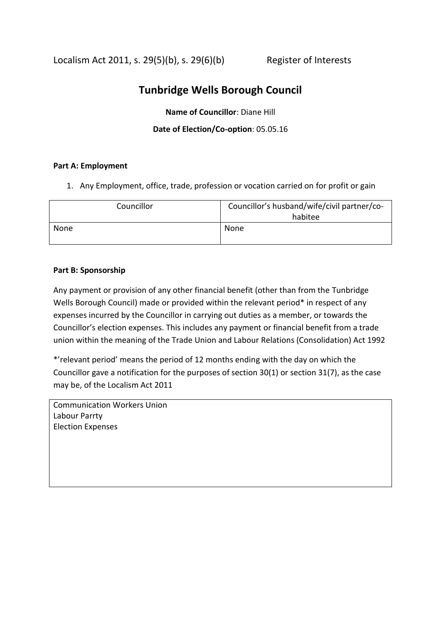Localism Act 2011, s.  $29(5)(b)$ , s.  $29(6)(b)$  Register of Interests

# **Tunbridge Wells Borough Council**

**Name of Councillor**: Diane Hill

# **Date of Election/Co-option**: 05.05.16

# **Part A: Employment**

1. Any Employment, office, trade, profession or vocation carried on for profit or gain

| Councillor | Councillor's husband/wife/civil partner/co- |
|------------|---------------------------------------------|
|            | habitee                                     |
| None       | None                                        |
|            |                                             |

#### **Part B: Sponsorship**

Any payment or provision of any other financial benefit (other than from the Tunbridge Wells Borough Council) made or provided within the relevant period\* in respect of any expenses incurred by the Councillor in carrying out duties as a member, or towards the Councillor's election expenses. This includes any payment or financial benefit from a trade union within the meaning of the Trade Union and Labour Relations (Consolidation) Act 1992

\*'relevant period' means the period of 12 months ending with the day on which the Councillor gave a notification for the purposes of section 30(1) or section 31(7), as the case may be, of the Localism Act 2011

Communication Workers Union Labour Parrty Election Expenses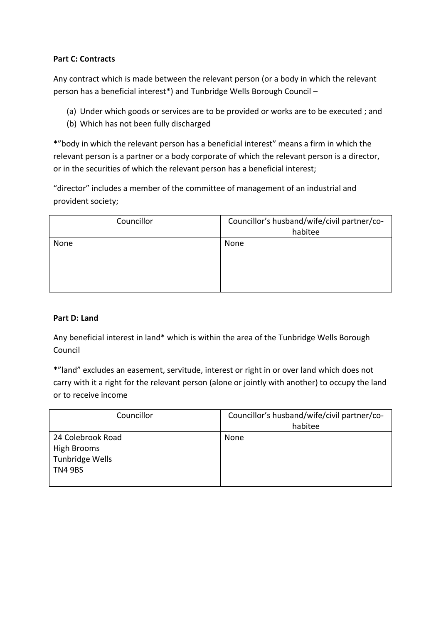# **Part C: Contracts**

Any contract which is made between the relevant person (or a body in which the relevant person has a beneficial interest\*) and Tunbridge Wells Borough Council –

- (a) Under which goods or services are to be provided or works are to be executed ; and
- (b) Which has not been fully discharged

\*"body in which the relevant person has a beneficial interest" means a firm in which the relevant person is a partner or a body corporate of which the relevant person is a director, or in the securities of which the relevant person has a beneficial interest;

"director" includes a member of the committee of management of an industrial and provident society;

| Councillor | Councillor's husband/wife/civil partner/co-<br>habitee |
|------------|--------------------------------------------------------|
| None       | None                                                   |

# **Part D: Land**

Any beneficial interest in land\* which is within the area of the Tunbridge Wells Borough Council

\*"land" excludes an easement, servitude, interest or right in or over land which does not carry with it a right for the relevant person (alone or jointly with another) to occupy the land or to receive income

| Councillor                                                            | Councillor's husband/wife/civil partner/co-<br>habitee |
|-----------------------------------------------------------------------|--------------------------------------------------------|
| 24 Colebrook Road<br>High Brooms<br>Tunbridge Wells<br><b>TN4 9BS</b> | None                                                   |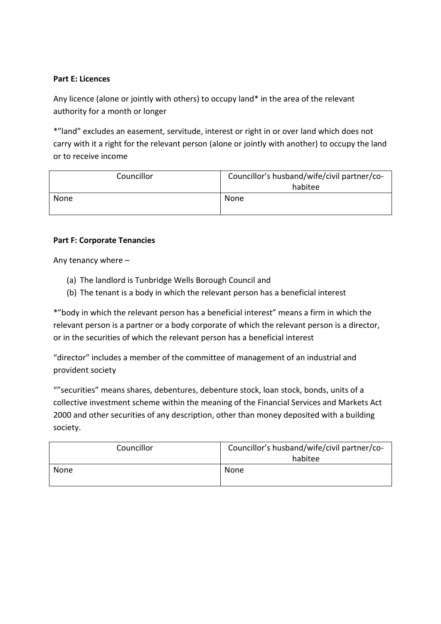#### **Part E: Licences**

Any licence (alone or jointly with others) to occupy land\* in the area of the relevant authority for a month or longer

\*"land" excludes an easement, servitude, interest or right in or over land which does not carry with it a right for the relevant person (alone or jointly with another) to occupy the land or to receive income

| Councillor | Councillor's husband/wife/civil partner/co-<br>habitee |
|------------|--------------------------------------------------------|
| None       | None                                                   |

#### **Part F: Corporate Tenancies**

Any tenancy where –

- (a) The landlord is Tunbridge Wells Borough Council and
- (b) The tenant is a body in which the relevant person has a beneficial interest

\*"body in which the relevant person has a beneficial interest" means a firm in which the relevant person is a partner or a body corporate of which the relevant person is a director, or in the securities of which the relevant person has a beneficial interest

"director" includes a member of the committee of management of an industrial and provident society

""securities" means shares, debentures, debenture stock, loan stock, bonds, units of a collective investment scheme within the meaning of the Financial Services and Markets Act 2000 and other securities of any description, other than money deposited with a building society.

| Councillor | Councillor's husband/wife/civil partner/co- |
|------------|---------------------------------------------|
|            | habitee                                     |
| None       | None                                        |